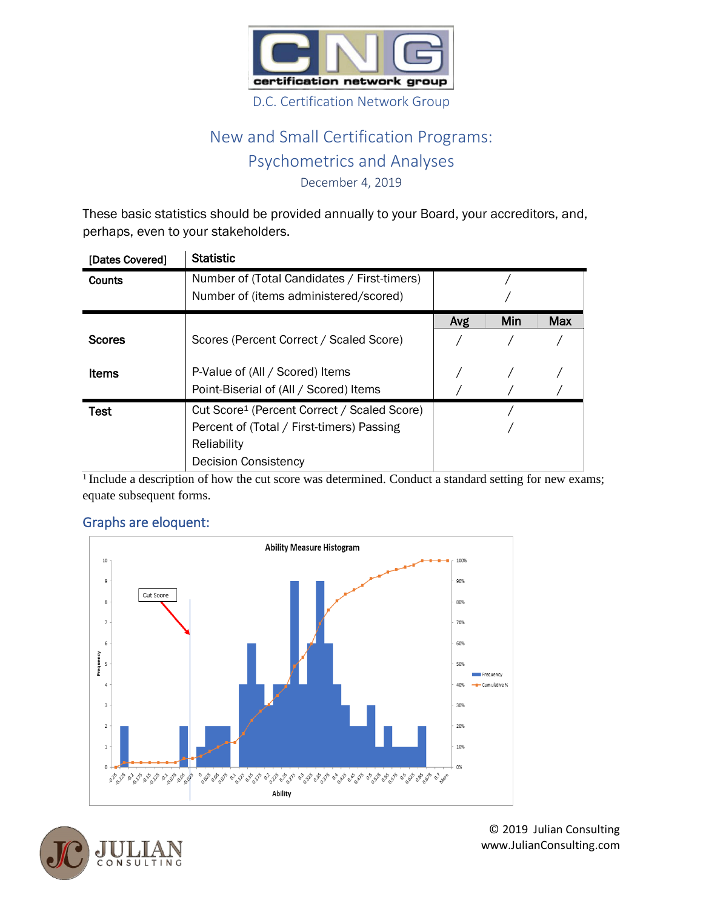

## New and Small Certification Programs: Psychometrics and Analyses

December 4, 2019

These basic statistics should be provided annually to your Board, your accreditors, and, perhaps, even to your stakeholders.

| [Dates Covered] | <b>Statistic</b>                                        |     |     |            |  |  |  |
|-----------------|---------------------------------------------------------|-----|-----|------------|--|--|--|
| Counts          | Number of (Total Candidates / First-timers)             |     |     |            |  |  |  |
|                 | Number of (items administered/scored)                   |     |     |            |  |  |  |
|                 |                                                         | Avg | Min | <b>Max</b> |  |  |  |
| <b>Scores</b>   | Scores (Percent Correct / Scaled Score)                 |     |     |            |  |  |  |
| <b>Items</b>    | P-Value of (All / Scored) Items                         |     |     |            |  |  |  |
|                 | Point-Biserial of (All / Scored) Items                  |     |     |            |  |  |  |
| Test            | Cut Score <sup>1</sup> (Percent Correct / Scaled Score) |     |     |            |  |  |  |
|                 | Percent of (Total / First-timers) Passing               |     |     |            |  |  |  |
|                 | Reliability                                             |     |     |            |  |  |  |
|                 | <b>Decision Consistency</b>                             |     |     |            |  |  |  |

<sup>1</sup> Include a description of how the cut score was determined. Conduct a standard setting for new exams; equate subsequent forms.



## Graphs are eloquent: